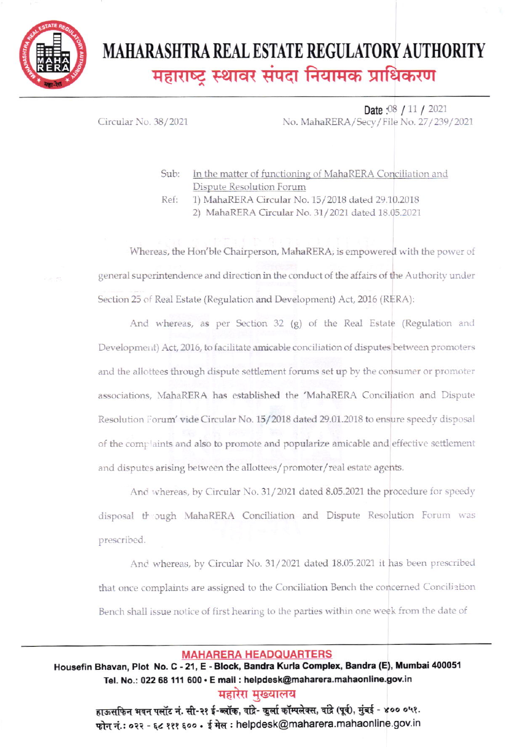

## **MAHARASHTRA REAL ESTATE REGULATORY AUTHORITY** महाराष्ट्र स्थावर संपदा नियामक प्राधिकरण

Circular No. 38/2021

Date  $.08$  / 11 / 2021 No. MahaRERA/Secy/File No. 27/239/2021

- In the matter of functioning of MahaRERA Conciliation and Sub: Dispute Resolution Forum
- 1) MahaRERA Circular No. 15/2018 dated 29.10.2018 Ref: 2) MahaRERA Circular No. 31/2021 dated 18.05.2021

Whereas, the Hon'ble Chairperson, MahaRERA; is empowered with the power of general superintendence and direction in the conduct of the affairs of the Authority under Section 25 of Real Estate (Regulation and Development) Act, 2016 (RERA):

And whereas, as per Section 32 (g) of the Real Estate (Regulation and Development) Act, 2016, to facilitate amicable conciliation of disputes between promoters and the allottees through dispute settlement forums set up by the consumer or promoter associations, MahaRERA has established the 'MahaRERA Conciliation and Dispute Resolution Forum' vide Circular No. 15/2018 dated 29.01.2018 to ensure speedy disposal of the complaints and also to promote and popularize amicable and effective settlement and disputes arising between the allottees/promoter/real estate agents.

And whereas, by Circular No. 31/2021 dated 8.05.2021 the procedure for speedy disposal through MahaRERA Conciliation and Dispute Resolution Forum was prescribed.

And whereas, by Circular No. 31/2021 dated 18.05.2021 it has been prescribed that once complaints are assigned to the Conciliation Bench the concerned Conciliation Bench shall issue notice of first hearing to the parties within one week from the date of

## **MAHARERA HEADQUARTERS**

Housefin Bhavan, Plot No. C - 21, E - Block, Bandra Kurla Complex, Bandra (E), Mumbai 400051 Tel. No.: 022 68 111 600 · E mail : helpdesk@maharera.mahaonline.gov.in महारेरा मख्यालय

> हाऊसफिन भवन पलॉट नं. सी-२१ ई-ब्लॉक, वांद्रे- कुर्ला कॉम्पलेक्स, वांद्रे (पूर्व), मुंबई - ४०० ०५१. फोन नं.: ०२२ - ६८ १११ ६०० • ई मेल: helpdesk@maharera.mahaonline.gov.in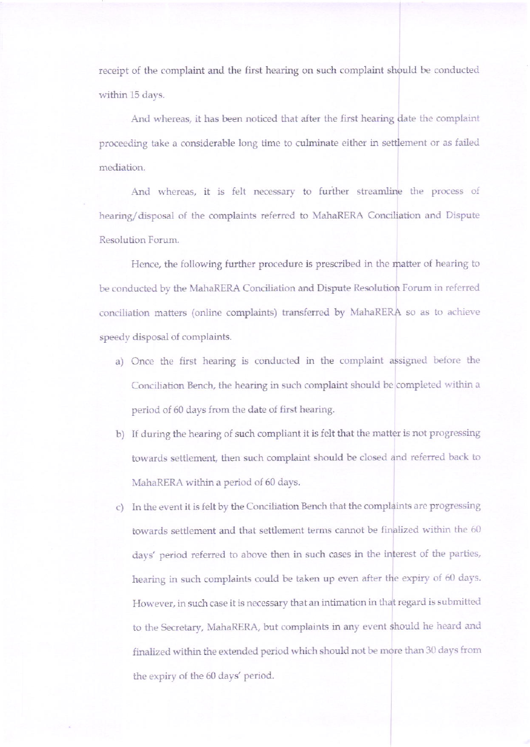receipt of the complaint and the first hearing on such complaint be conducted within 15 days.

proceeding take a considerable long time to culminate either in settlement or as failed mediation. And whereas, it has been noticed that after the first hearing date the complaint

And whereas, it is felt necessary to further streamline the process of hearing/disposal of the complaints referred to MahaRERA Conciliation and Dispute Resolution Forurn.

be conducted by the MahaRERA Conciliation and Dispute Resolution Forum in referred conciliation matters (online complaints) transferred by MahaRERA so as to achieve speedy disposal of complaints. Hence, the following further procedure is prescribed in the matter of hearing to

- a) Once the first hearing is conducted in the complaint assigned before the Conciliation Bench, the hearing in such complaint should be completed within a period of 60 days from the date of first hearing.
- b) If during the hearing of such compliant it is felt that the matter is not progressing towards settlement, then such complaint should be closed and referred back to MahaRERA within a period of 60 days.
- c) In the event it is felt by the Conciliation Bench that the complaints are progressing towards settlement and that settlement terms cannot be finalized within the 60 days' period referred to above then in such cases in the interest of the parties, hearing in such complaints could be taken up even after the expiry of 60 days. However, in such case it is necessary that an intimation in that regard is submitted to the Secretary, MahaRERA, but complaints in any event should he heard and finalized within the extended period which should not be more than 30 days from the expiry of the 60 days' period.